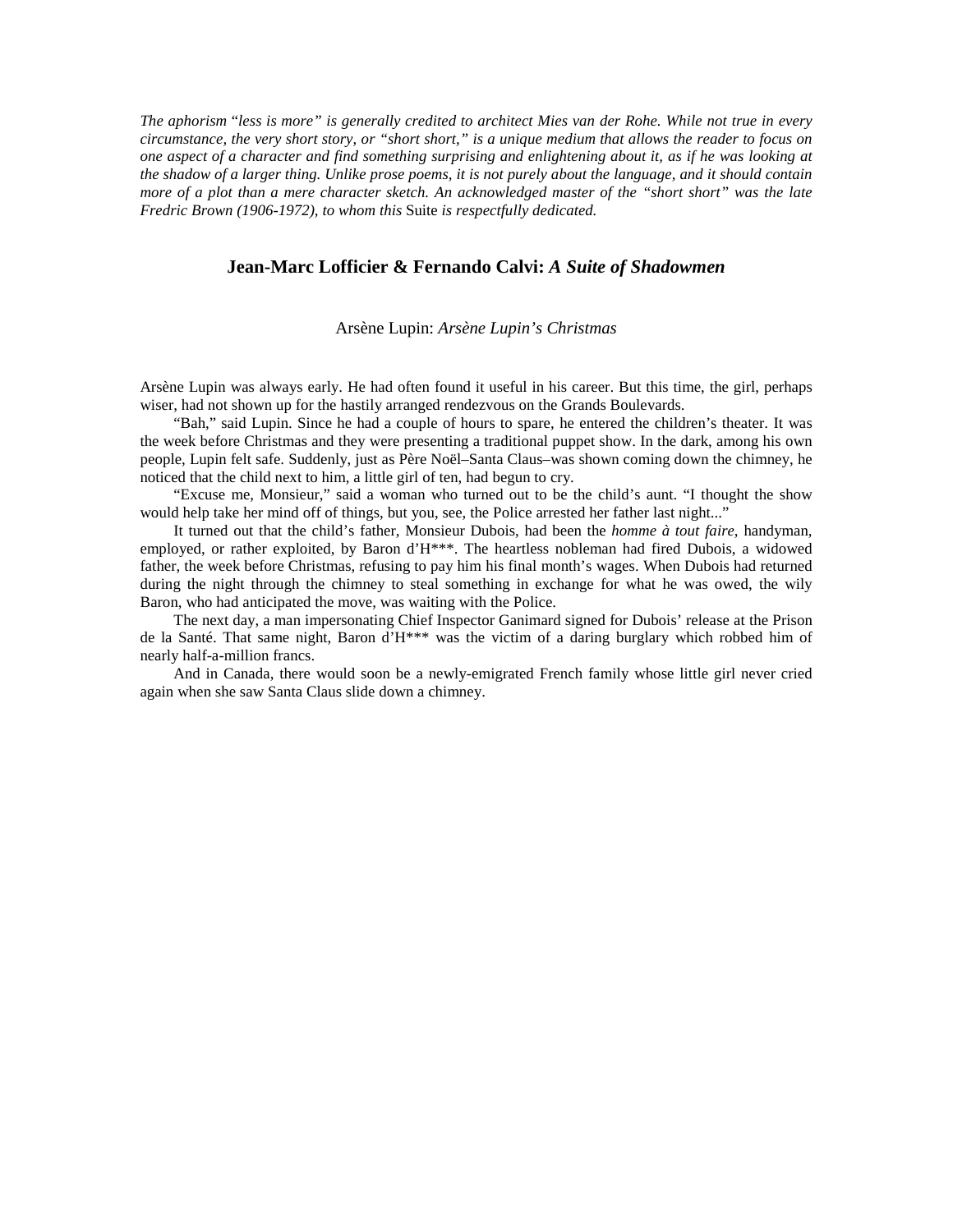*The aphorism* "*less is more" is generally credited to architect Mies van der Rohe. While not true in every circumstance, the very short story, or "short short," is a unique medium that allows the reader to focus on one aspect of a character and find something surprising and enlightening about it, as if he was looking at the shadow of a larger thing. Unlike prose poems, it is not purely about the language, and it should contain more of a plot than a mere character sketch. An acknowledged master of the "short short" was the late Fredric Brown (1906-1972), to whom this* Suite *is respectfully dedicated.*

# **Jean-Marc Lofficier & Fernando Calvi:** *A Suite of Shadowmen*

Arsène Lupin: *Arsène Lupin's Christmas*

Arsène Lupin was always early. He had often found it useful in his career. But this time, the girl, perhaps wiser, had not shown up for the hastily arranged rendezvous on the Grands Boulevards.

"Bah," said Lupin. Since he had a couple of hours to spare, he entered the children's theater. It was the week before Christmas and they were presenting a traditional puppet show. In the dark, among his own people, Lupin felt safe. Suddenly, just as Père Noël–Santa Claus–was shown coming down the chimney, he noticed that the child next to him, a little girl of ten, had begun to cry.

"Excuse me, Monsieur," said a woman who turned out to be the child's aunt. "I thought the show would help take her mind off of things, but you, see, the Police arrested her father last night..."

It turned out that the child's father, Monsieur Dubois, had been the *homme à tout faire*, handyman, employed, or rather exploited, by Baron d'H\*\*\*. The heartless nobleman had fired Dubois, a widowed father, the week before Christmas, refusing to pay him his final month's wages. When Dubois had returned during the night through the chimney to steal something in exchange for what he was owed, the wily Baron, who had anticipated the move, was waiting with the Police.

The next day, a man impersonating Chief Inspector Ganimard signed for Dubois' release at the Prison de la Santé. That same night, Baron d'H\*\*\* was the victim of a daring burglary which robbed him of nearly half-a-million francs.

And in Canada, there would soon be a newly-emigrated French family whose little girl never cried again when she saw Santa Claus slide down a chimney.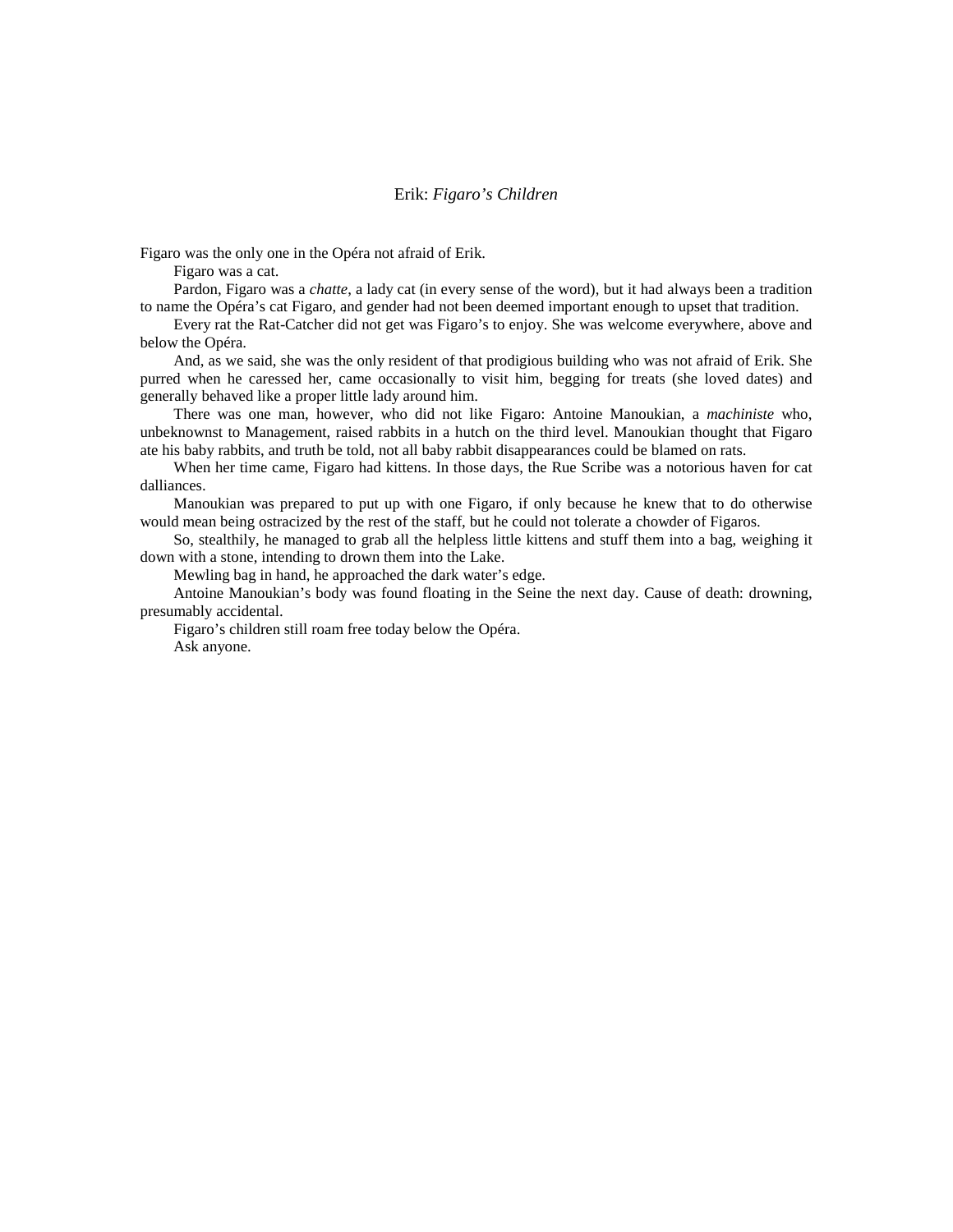# Erik: *Figaro's Children*

Figaro was the only one in the Opéra not afraid of Erik.

Figaro was a cat.

Pardon, Figaro was a *chatte*, a lady cat (in every sense of the word), but it had always been a tradition to name the Opéra's cat Figaro, and gender had not been deemed important enough to upset that tradition.

Every rat the Rat-Catcher did not get was Figaro's to enjoy. She was welcome everywhere, above and below the Opéra.

And, as we said, she was the only resident of that prodigious building who was not afraid of Erik. She purred when he caressed her, came occasionally to visit him, begging for treats (she loved dates) and generally behaved like a proper little lady around him.

There was one man, however, who did not like Figaro: Antoine Manoukian, a *machiniste* who, unbeknownst to Management, raised rabbits in a hutch on the third level. Manoukian thought that Figaro ate his baby rabbits, and truth be told, not all baby rabbit disappearances could be blamed on rats.

When her time came, Figaro had kittens. In those days, the Rue Scribe was a notorious haven for cat dalliances.

Manoukian was prepared to put up with one Figaro, if only because he knew that to do otherwise would mean being ostracized by the rest of the staff, but he could not tolerate a chowder of Figaros.

So, stealthily, he managed to grab all the helpless little kittens and stuff them into a bag, weighing it down with a stone, intending to drown them into the Lake.

Mewling bag in hand, he approached the dark water's edge.

Antoine Manoukian's body was found floating in the Seine the next day. Cause of death: drowning, presumably accidental.

Figaro's children still roam free today below the Opéra. Ask anyone.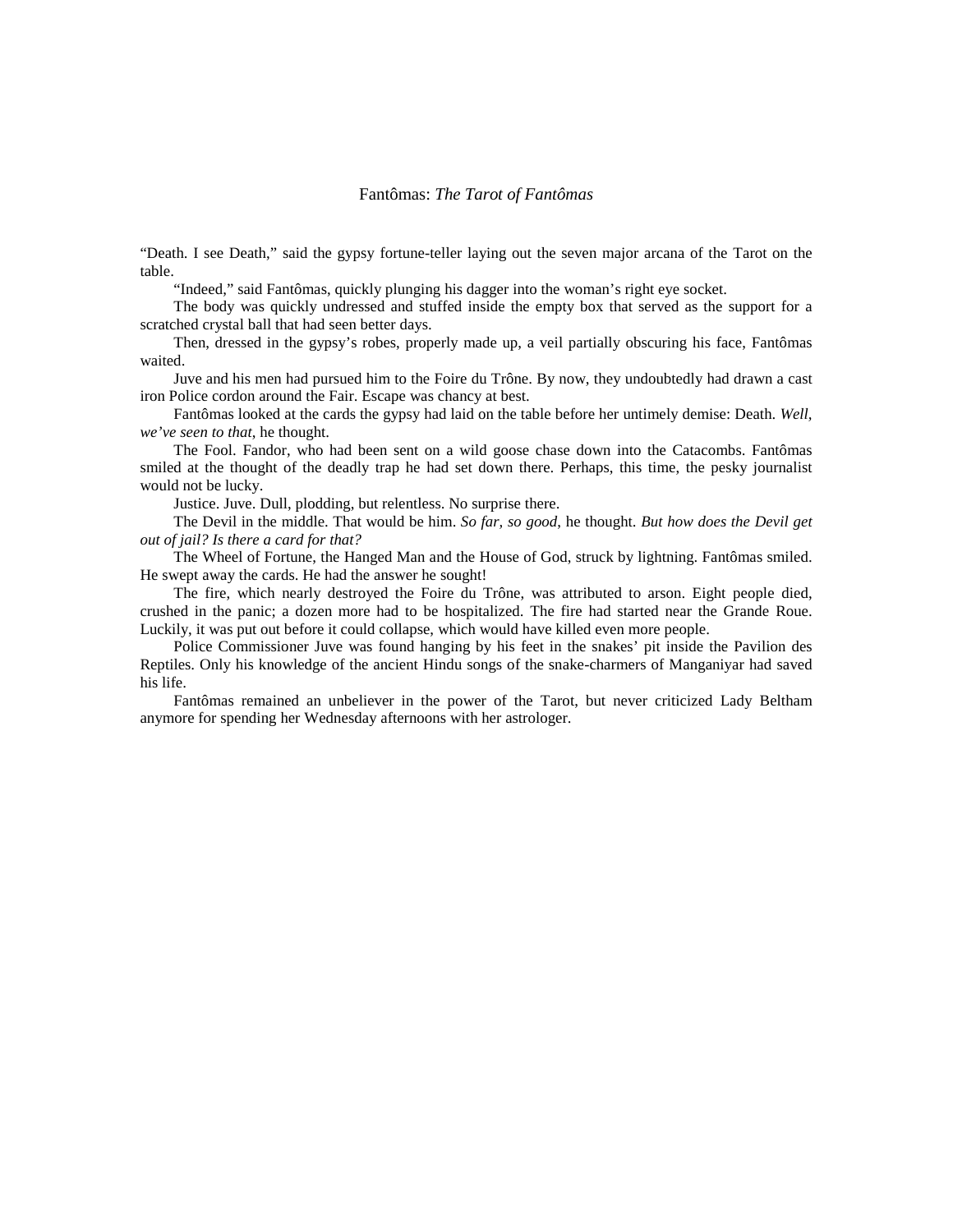## Fantômas: *The Tarot of Fantômas*

"Death. I see Death," said the gypsy fortune-teller laying out the seven major arcana of the Tarot on the table.

"Indeed," said Fantômas, quickly plunging his dagger into the woman's right eye socket.

The body was quickly undressed and stuffed inside the empty box that served as the support for a scratched crystal ball that had seen better days.

Then, dressed in the gypsy's robes, properly made up, a veil partially obscuring his face, Fantômas waited.

Juve and his men had pursued him to the Foire du Trône. By now, they undoubtedly had drawn a cast iron Police cordon around the Fair. Escape was chancy at best.

Fantômas looked at the cards the gypsy had laid on the table before her untimely demise: Death. *Well, we've seen to that*, he thought.

The Fool. Fandor, who had been sent on a wild goose chase down into the Catacombs. Fantômas smiled at the thought of the deadly trap he had set down there. Perhaps, this time, the pesky journalist would not be lucky.

Justice. Juve. Dull, plodding, but relentless. No surprise there.

The Devil in the middle. That would be him. *So far, so good*, he thought. *But how does the Devil get out of jail? Is there a card for that?*

The Wheel of Fortune, the Hanged Man and the House of God, struck by lightning. Fantômas smiled. He swept away the cards. He had the answer he sought!

The fire, which nearly destroyed the Foire du Trône, was attributed to arson. Eight people died, crushed in the panic; a dozen more had to be hospitalized. The fire had started near the Grande Roue. Luckily, it was put out before it could collapse, which would have killed even more people.

Police Commissioner Juve was found hanging by his feet in the snakes' pit inside the Pavilion des Reptiles. Only his knowledge of the ancient Hindu songs of the snake-charmers of Manganiyar had saved his life.

Fantômas remained an unbeliever in the power of the Tarot, but never criticized Lady Beltham anymore for spending her Wednesday afternoons with her astrologer.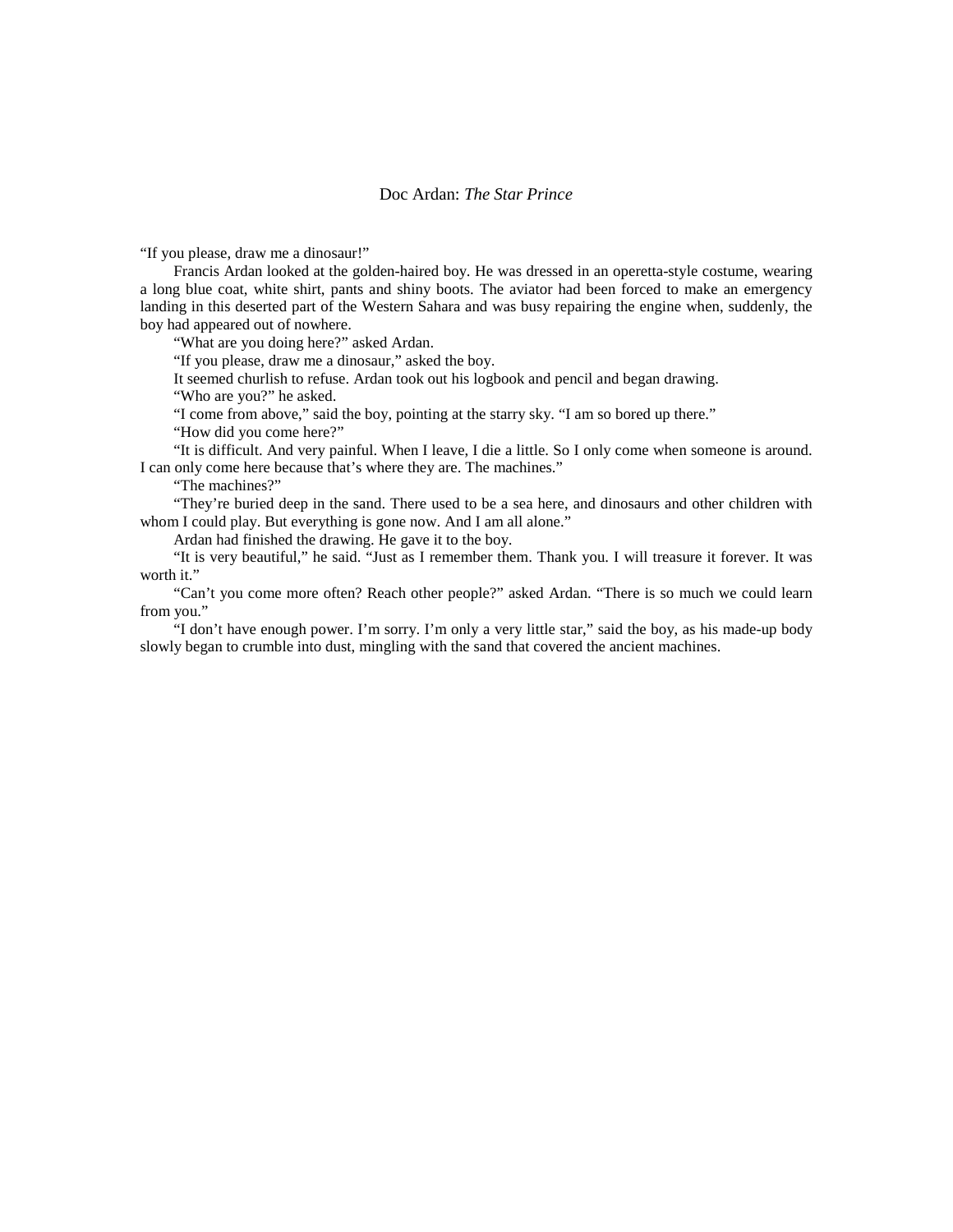## Doc Ardan: *The Star Prince*

"If you please, draw me a dinosaur!"

Francis Ardan looked at the golden-haired boy. He was dressed in an operetta-style costume, wearing a long blue coat, white shirt, pants and shiny boots. The aviator had been forced to make an emergency landing in this deserted part of the Western Sahara and was busy repairing the engine when, suddenly, the boy had appeared out of nowhere.

"What are you doing here?" asked Ardan.

"If you please, draw me a dinosaur," asked the boy.

It seemed churlish to refuse. Ardan took out his logbook and pencil and began drawing.

"Who are you?" he asked.

"I come from above," said the boy, pointing at the starry sky. "I am so bored up there."

"How did you come here?"

"It is difficult. And very painful. When I leave, I die a little. So I only come when someone is around. I can only come here because that's where they are. The machines."

"The machines?"

"They're buried deep in the sand. There used to be a sea here, and dinosaurs and other children with whom I could play. But everything is gone now. And I am all alone."

Ardan had finished the drawing. He gave it to the boy.

"It is very beautiful," he said. "Just as I remember them. Thank you. I will treasure it forever. It was worth it."

"Can't you come more often? Reach other people?" asked Ardan. "There is so much we could learn from you."

"I don't have enough power. I'm sorry. I'm only a very little star," said the boy, as his made-up body slowly began to crumble into dust, mingling with the sand that covered the ancient machines.